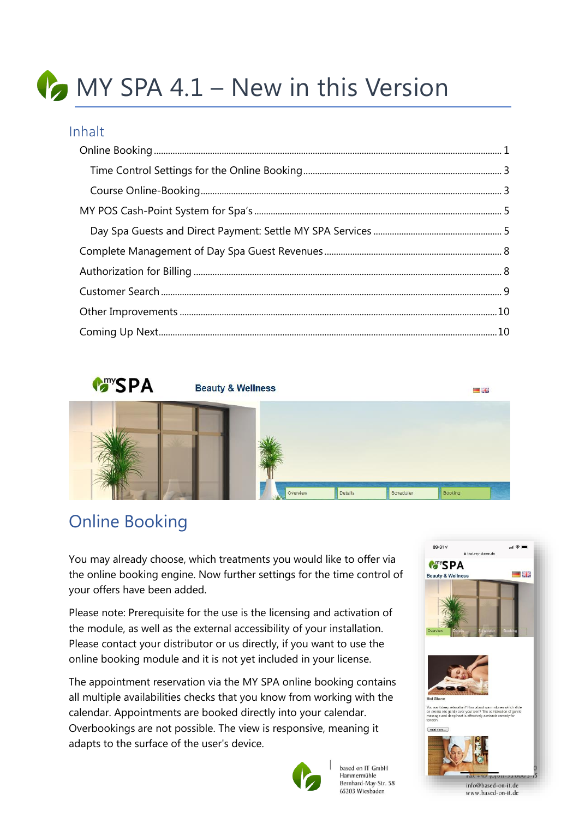# MY SPA 4.1 – New in this Version

#### Inhalt



### <span id="page-0-0"></span>Online Booking

You may already choose, which treatments you would like to offer via the online booking engine. Now further settings for the time control of your offers have been added.

Please note: Prerequisite for the use is the licensing and activation of the module, as well as the external accessibility of your installation. Please contact your distributor or us directly, if you want to use the online booking module and it is not yet included in your license.

The appointment reservation via the MY SPA online booking contains all multiple availabilities checks that you know from working with the calendar. Appointments are booked directly into your calendar. Overbookings are not possible. The view is responsive, meaning it adapts to the surface of the user's device.







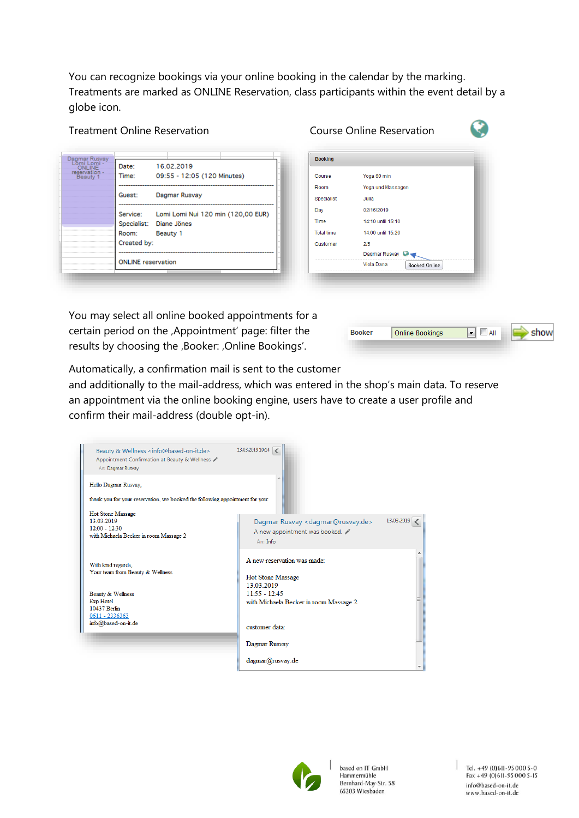You can recognize bookings via your online booking in the calendar by the marking. Treatments are marked as ONLINE Reservation, class participants within the event detail by a globe icon.

Treatment Online Reservation Course Online Reservation

| Dagmar Rusyay              |                           |                                             |  |
|----------------------------|---------------------------|---------------------------------------------|--|
| Lomi Lomi<br><b>ONLINE</b> | Date:                     | 16.02.2019                                  |  |
| reservation -<br>Beauty 1  | Time:                     | 09:55 - 12:05 (120 Minutes)                 |  |
|                            |                           |                                             |  |
|                            | Guest:                    | Dagmar Rusvay                               |  |
|                            |                           |                                             |  |
|                            |                           | Service: Lomi Lomi Nui 120 min (120,00 EUR) |  |
|                            | Specialist: Diane Jönes   |                                             |  |
|                            | Room:                     | Beauty 1                                    |  |
|                            | Created by:               |                                             |  |
|                            |                           |                                             |  |
|                            | <b>ONLINE</b> reservation |                                             |  |
|                            |                           |                                             |  |

| <b>Booking</b>    |                             |
|-------------------|-----------------------------|
| Course            | Yoga 60 min                 |
| Room              | Yoga und Massagen           |
| Specialist        | Julia                       |
| Day               | 02/16/2019                  |
| Time              | 14:10 until 15:10           |
| <b>Total time</b> | 14:00 until 15:20           |
| Customer          | 215                         |
|                   | Dagmar Rusvay C             |
|                   | Viola Dana<br>Booked Online |

You may select all online booked appointments for a certain period on the , Appointment' page: filter the results by choosing the ,Booker: ,Online Bookings'.



Automatically, a confirmation mail is sent to the customer

and additionally to the mail-address, which was entered in the shop's main data. To reserve an appointment via the online booking engine, users have to create a user profile and confirm their mail-address (double opt-in).

| Beauty & Wellness <info@based-on-it.de><br/>Appointment Confirmation at Beauty &amp; Wellness /<br/>An: Dagmar Rusvay</info@based-on-it.de> | 13.03.2019 10:14 <                                                                                       |  |
|---------------------------------------------------------------------------------------------------------------------------------------------|----------------------------------------------------------------------------------------------------------|--|
| Hello Dagmar Rusvay,<br>thank you for your reservation, we booked the following appointment for you:                                        |                                                                                                          |  |
| <b>Hot Stone Massage</b><br>13.03.2019<br>$12:00 - 12:30$<br>with Michaela Becker in room Massage 2                                         | 13.03.2019<br>Dagmar Rusvay < dagmar@rusvay.de><br>A new appointment was booked.<br>An: Inf <sub>o</sub> |  |
| With kind regards.<br>Your team from Beauty & Wellness                                                                                      | A new reservation was made:<br>Hot Stone Massage<br>13 03 2019                                           |  |
| Beauty & Wellness<br>Exp Hotel<br>10437 Berlin<br>0611 - 2336363                                                                            | $11:55 - 12:45$<br>with Michaela Becker in room Massage 2                                                |  |
| info@based-on-it.de                                                                                                                         | customer data:<br>Dagmar Rusvay                                                                          |  |
|                                                                                                                                             | dagmar@rusvay.de                                                                                         |  |

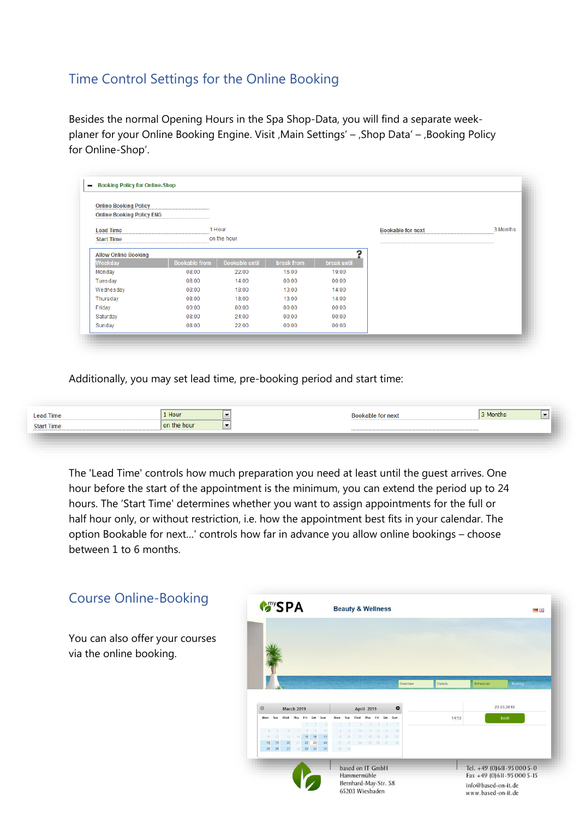#### <span id="page-2-0"></span>Time Control Settings for the Online Booking

Besides the normal Opening Hours in the Spa Shop-Data, you will find a separate weekplaner for your Online Booking Engine. Visit , Main Settings' – , Shop Data' – , Booking Policy for Online-Shop'.

| <b>Online Booking Policy</b>     |                      |                       |            |             |                          |          |
|----------------------------------|----------------------|-----------------------|------------|-------------|--------------------------|----------|
| <b>Online Booking Policy ENG</b> |                      |                       |            |             |                          |          |
| <b>Lead Time</b>                 | 1 Hour               |                       |            |             | <b>Bookable for next</b> | 3 Months |
| <b>Start Time</b>                |                      | on the hour           |            |             |                          |          |
| <b>Allow Online Booking</b>      |                      |                       |            | າ           |                          |          |
| Weekday                          | <b>Bookable from</b> | <b>Bookable until</b> | break from | break until |                          |          |
| Monday                           | 08:00                | 22:00                 | 16:00      | 19:00       |                          |          |
| Tuesday                          | 08:00                | 14:00                 | 00:00      | 00:00       |                          |          |
| Wednesday                        | 08:00                | 18:00                 | 13:00      | 14:00       |                          |          |
| Thursday                         | 08:00                | 18:00                 | 13:00      | 14:00       |                          |          |
| Friday                           | 00:00                | 00:00                 | 00:00      | 00:00       |                          |          |
| Saturday                         | 08:00                | 24:00                 | 00:00      | 00:00       |                          |          |
| Sunday                           | 08:00                | 22:00                 | 00:00      | 00:00       |                          |          |

Additionally, you may set lead time, pre-booking period and start time:

| ead Time   | 1 Hour      |     | anie m | <b>Months</b> | $\overline{\phantom{a}}$ |
|------------|-------------|-----|--------|---------------|--------------------------|
| Start Time | on the hour | ___ |        |               |                          |
|            |             |     |        |               |                          |

The 'Lead Time' controls how much preparation you need at least until the guest arrives. One hour before the start of the appointment is the minimum, you can extend the period up to 24 hours. The 'Start Time' determines whether you want to assign appointments for the full or half hour only, or without restriction, i.e. how the appointment best fits in your calendar. The option Bookable for next…' controls how far in advance you allow online bookings – choose between 1 to 6 months.

<span id="page-2-1"></span>

| <b>Course Online-Booking</b>                               | <b>Mars</b> PA                                                                                                                | <b>Beauty &amp; Wellness</b>                                               | 三联                                                                                                        |
|------------------------------------------------------------|-------------------------------------------------------------------------------------------------------------------------------|----------------------------------------------------------------------------|-----------------------------------------------------------------------------------------------------------|
| You can also offer your courses<br>via the online booking. |                                                                                                                               | Overview                                                                   | Scheduler<br>Details<br>Booking                                                                           |
|                                                            | <b>March 2019</b><br>ø                                                                                                        | <b>April 2019</b><br>$\bullet$                                             | 23.03.2019                                                                                                |
|                                                            | Mon<br>Wed<br>Thu<br>Fri<br>Sat<br>Sun<br>15<br>16<br>17<br>$21$ 22 23 24<br>20<br>19<br>18<br>25 26<br>27<br>28 29 30<br>31. | Fri<br>Sat<br>Sun<br>19 20 21<br>15<br>22 23 24 25 26 27 28<br>29 30       | 14:10<br>book                                                                                             |
|                                                            |                                                                                                                               | based on IT GmbH<br>Hammermühle<br>Bernhard-May-Str. 58<br>65203 Wiesbaden | Tel. $+49(0)611-950005-0$<br>$Fax +49 (0) 611 - 95 000 5-15$<br>info@based-on-it.de<br>www.based-on-it.de |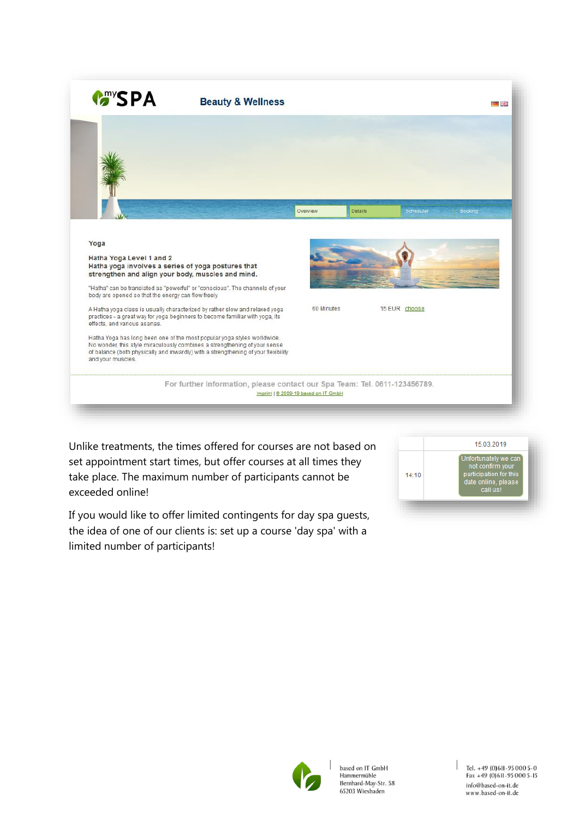| <b>MANSPA</b>                                                                                                                                                                                      | <b>Beauty &amp; Wellness</b>                                                                                                                                                                                                                                                                                                                                                                              |                                      |               | ■誤論     |
|----------------------------------------------------------------------------------------------------------------------------------------------------------------------------------------------------|-----------------------------------------------------------------------------------------------------------------------------------------------------------------------------------------------------------------------------------------------------------------------------------------------------------------------------------------------------------------------------------------------------------|--------------------------------------|---------------|---------|
|                                                                                                                                                                                                    |                                                                                                                                                                                                                                                                                                                                                                                                           | Details<br>Overview                  | Scheduler     | Booking |
| Yoga<br>Hatha Yoga Level 1 and 2<br>Hatha yoga involves a series of yoga postures that<br>strengthen and align your body, muscles and mind.<br>body are opened so that the energy can flow freely. | "Hatha" can be translated as "powerful" or "conscious". The channels of your                                                                                                                                                                                                                                                                                                                              |                                      |               |         |
| effects, and various asanas.<br>and your muscles.                                                                                                                                                  | A Hatha yoga class is usually characterized by rather slow and relaxed yoga<br>practices - a great way for yoga beginners to become familiar with yoga, its<br>Hatha Yoga has long been one of the most popular yoga styles worldwide.<br>No wonder, this style miraculously combines a strengthening of your sense<br>of balance (both physically and inwardly) with a strengthening of your flexibility | 60 Minutes                           | 15 EUR choose |         |
|                                                                                                                                                                                                    | For further information, please contact our Spa Team: Tel. 0611-123456789.                                                                                                                                                                                                                                                                                                                                | Imprint   @ 2009-19 based on IT GmbH |               |         |

Unlike treatments, the times offered for courses are not based on set appointment start times, but offer courses at all times they take place. The maximum number of participants cannot be exceeded online!

If you would like to offer limited contingents for day spa guests, the idea of one of our clients is: set up a course 'day spa' with a limited number of participants!



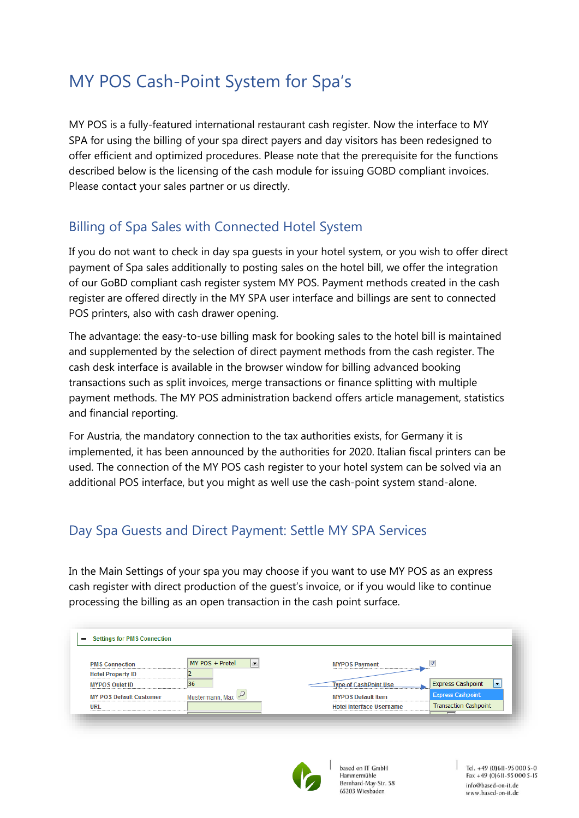### <span id="page-4-0"></span>MY POS Cash-Point System for Spa's

MY POS is a fully-featured international restaurant cash register. Now the interface to MY SPA for using the billing of your spa direct payers and day visitors has been redesigned to offer efficient and optimized procedures. Please note that the prerequisite for the functions described below is the licensing of the cash module for issuing GOBD compliant invoices. Please contact your sales partner or us directly.

#### Billing of Spa Sales with Connected Hotel System

If you do not want to check in day spa guests in your hotel system, or you wish to offer direct payment of Spa sales additionally to posting sales on the hotel bill, we offer the integration of our GoBD compliant cash register system MY POS. Payment methods created in the cash register are offered directly in the MY SPA user interface and billings are sent to connected POS printers, also with cash drawer opening.

The advantage: the easy-to-use billing mask for booking sales to the hotel bill is maintained and supplemented by the selection of direct payment methods from the cash register. The cash desk interface is available in the browser window for billing advanced booking transactions such as split invoices, merge transactions or finance splitting with multiple payment methods. The MY POS administration backend offers article management, statistics and financial reporting.

For Austria, the mandatory connection to the tax authorities exists, for Germany it is implemented, it has been announced by the authorities for 2020. Italian fiscal printers can be used. The connection of the MY POS cash register to your hotel system can be solved via an additional POS interface, but you might as well use the cash-point system stand-alone.

#### <span id="page-4-1"></span>Day Spa Guests and Direct Payment: Settle MY SPA Services

In the Main Settings of your spa you may choose if you want to use MY POS as an express cash register with direct production of the guest's invoice, or if you would like to continue processing the billing as an open transaction in the cash point surface.

| <b>PMS Connection</b>          | $\overline{\phantom{a}}$<br>MY POS + Protel | <b>MYPOS Payment</b>            |                                          |
|--------------------------------|---------------------------------------------|---------------------------------|------------------------------------------|
| <b>Hotel Property ID</b>       |                                             |                                 |                                          |
| <b>MYPOS Oulet ID</b>          | 36                                          | <b>Type of CashPoint Use</b>    | <b>Express Cashpoint</b><br>$\mathbf{r}$ |
| <b>MY POS Default Customer</b> | Mustermann, Max                             | <b>MYPOS Default Item</b>       | <b>Express Cashpoint</b>                 |
| <b>URL</b>                     |                                             | <b>Hotel Interface Username</b> | <b>Transaction Cashpoint</b>             |



based on IT GmbH Hammermühle Bernhard-May-Str. 58 65203 Wiesbaden

Tel. +49 (0)611-95 000 5-0 Fax +49 (0) 611-95 000 5-15 info@based-on-it.de www.based-on-it.de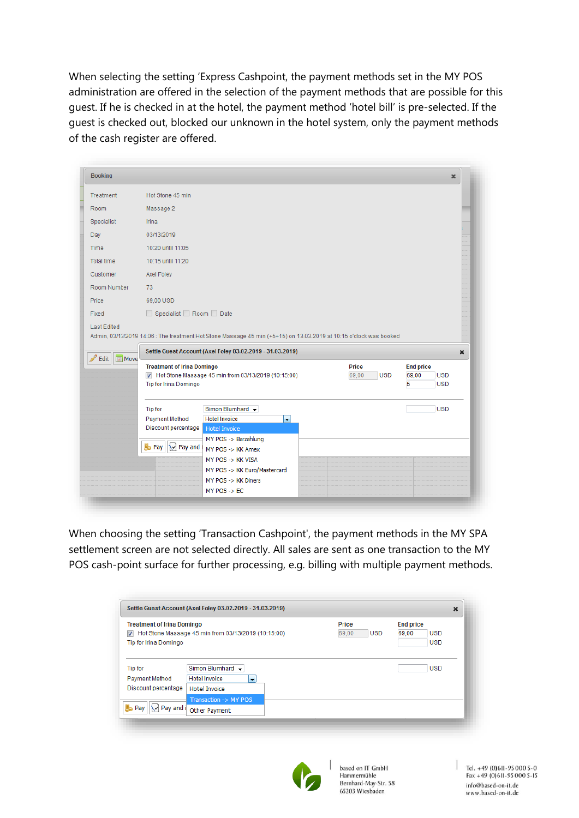When selecting the setting 'Express Cashpoint, the payment methods set in the MY POS administration are offered in the selection of the payment methods that are possible for this guest. If he is checked in at the hotel, the payment method 'hotel bill' is pre-selected. If the guest is checked out, blocked our unknown in the hotel system, only the payment methods of the cash register are offered.

| <b>Booking</b>           |                                                                                                                                                                                                                                                                                               |                                     | ×                                       |
|--------------------------|-----------------------------------------------------------------------------------------------------------------------------------------------------------------------------------------------------------------------------------------------------------------------------------------------|-------------------------------------|-----------------------------------------|
| Treatment                | Hot Stone 45 min                                                                                                                                                                                                                                                                              |                                     |                                         |
| Room                     | Massage 2                                                                                                                                                                                                                                                                                     |                                     |                                         |
| Specialist               | <b>Irina</b>                                                                                                                                                                                                                                                                                  |                                     |                                         |
| Day                      | 03/13/2019                                                                                                                                                                                                                                                                                    |                                     |                                         |
| Time                     | 10:20 until 11:05                                                                                                                                                                                                                                                                             |                                     |                                         |
| <b>Total time</b>        | 10:15 until 11:20                                                                                                                                                                                                                                                                             |                                     |                                         |
| Customer                 | Axel Foley                                                                                                                                                                                                                                                                                    |                                     |                                         |
| Room Number              | 73                                                                                                                                                                                                                                                                                            |                                     |                                         |
| Price                    | 69,00 USD                                                                                                                                                                                                                                                                                     |                                     |                                         |
| Fixed                    | Specialist Room Date                                                                                                                                                                                                                                                                          |                                     |                                         |
| Edit<br>$\boxed{m}$ Move | Admin, 03/13/2019 14:06 : The treatment Hot Stone Massage 45 min (+5+15) on 13.03.2019 at 10:15 o'clock was booked<br>Settle Guest Account (Axel Foley 03.02.2019 - 31.03.2019)                                                                                                               |                                     | $\boldsymbol{\mathsf{x}}$               |
|                          | <b>Treatment of Irina Domingo</b><br>M Hot Stone Massage 45 min from 03/13/2019 (10:15:00)                                                                                                                                                                                                    | <b>Price</b><br><b>USD</b><br>69,00 | <b>End price</b><br>69,00<br><b>USD</b> |
|                          | Tip for Irina Domingo                                                                                                                                                                                                                                                                         |                                     | 5<br><b>USD</b>                         |
|                          | Simon Blumhard v<br><b>Tip for</b><br><b>Hotel Invoice</b><br>Payment Method<br>$\left  \rule{0pt}{10pt} \right.$<br>Discount percentage<br><b>Hotel Invoice</b><br>MY POS -> Barzahlung<br>Ba Pay \\\r\\ Pay and i<br>MY POS -> KK Amex<br>MY POS -> KK VISA<br>MY POS -> KK Euro/Mastercard |                                     | <b>USD</b>                              |

When choosing the setting 'Transaction Cashpoint', the payment methods in the MY SPA settlement screen are not selected directly. All sales are sent as one transaction to the MY POS cash-point surface for further processing, e.g. billing with multiple payment methods.

| <b>Treatment of Irina Domingo</b>     |                                                                          | Price               | <b>End price</b>    |
|---------------------------------------|--------------------------------------------------------------------------|---------------------|---------------------|
| V                                     | Hot Stone Massage 45 min from 03/13/2019 (10:15:00)                      | 69,00<br><b>USD</b> | 69.00<br><b>USD</b> |
| Tip for Irina Domingo                 |                                                                          |                     | <b>USD</b>          |
| Payment Method<br>Discount percentage | <b>Hotel Invoice</b><br>$\overline{\phantom{a}}$<br><b>Hotel Invoice</b> |                     |                     |
| r.                                    | Transaction -> MY POS                                                    |                     |                     |
| Pav and i<br>Pav                      | Other Payment                                                            |                     |                     |



based on IT GmbH Hammermühle Bernhard-May-Str. 58 65203 Wiesbaden

Tel. +49 (0) 6II-95 000 5-0<br>Fax +49 (0) 6II-95 000 5-15 info@based-on-it.de www.based-on-it.de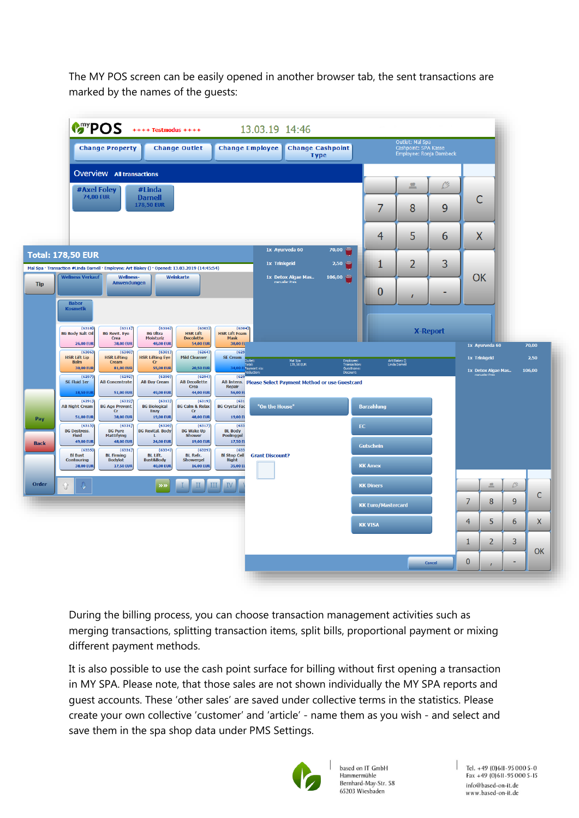The MY POS screen can be easily opened in another browser tab, the sent transactions are marked by the names of the guests:



During the billing process, you can choose transaction management activities such as merging transactions, splitting transaction items, split bills, proportional payment or mixing different payment methods.

It is also possible to use the cash point surface for billing without first opening a transaction in MY SPA. Please note, that those sales are not shown individually the MY SPA reports and guest accounts. These 'other sales' are saved under collective terms in the statistics. Please create your own collective 'customer' and 'article' - name them as you wish - and select and save them in the spa shop data under PMS Settings.



based on IT GmbH Hammermühle Bernhard-May-Str. 58 65203 Wiesbaden

Tel. +49 (0)611-95 000 5-0 Fax +49 (0) 611-95 000 5-15 info@based-on-it.de www.based-on-it.de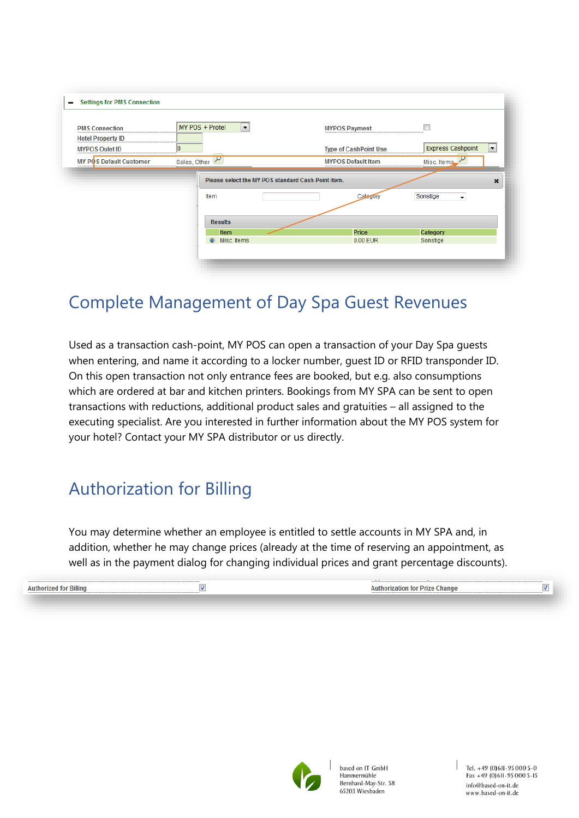| <b>PMS Connection</b>          | MY POS + Protel<br>$ \cdot $                               | <b>MYPOS Payment</b>         |                                      |                           |
|--------------------------------|------------------------------------------------------------|------------------------------|--------------------------------------|---------------------------|
| <b>Hotel Property ID</b>       |                                                            |                              |                                      |                           |
| <b>MYPOS Oulet ID</b>          | о                                                          | <b>Type of CashPoint Use</b> | <b>Express Cashpoint</b>             | l v l                     |
| <b>MY POS Default Customer</b> | Sales, Other                                               | <b>MYPOS Default Item</b>    | Misc. Items                          |                           |
|                                | Please select the MY POS standard Cash-Point item.<br>Item |                              |                                      | $\boldsymbol{\mathsf{x}}$ |
|                                |                                                            | Category                     | Sonstige<br>$\overline{\phantom{a}}$ |                           |
|                                | <b>Results</b><br><b>Item</b>                              | Price                        | Category                             |                           |
|                                |                                                            |                              |                                      |                           |

### <span id="page-7-0"></span>Complete Management of Day Spa Guest Revenues

Used as a transaction cash-point, MY POS can open a transaction of your Day Spa guests when entering, and name it according to a locker number, guest ID or RFID transponder ID. On this open transaction not only entrance fees are booked, but e.g. also consumptions which are ordered at bar and kitchen printers. Bookings from MY SPA can be sent to open transactions with reductions, additional product sales and gratuities – all assigned to the executing specialist. Are you interested in further information about the MY POS system for your hotel? Contact your MY SPA distributor or us directly.

### <span id="page-7-1"></span>Authorization for Billing

You may determine whether an employee is entitled to settle accounts in MY SPA and, in addition, whether he may change prices (already at the time of reserving an appointment, as well as in the payment dialog for changing individual prices and grant percentage discounts).

| Prize<br>Authorization for<br>Change<br>AllThor<br>вшшк |  |
|---------------------------------------------------------|--|
|                                                         |  |
|                                                         |  |

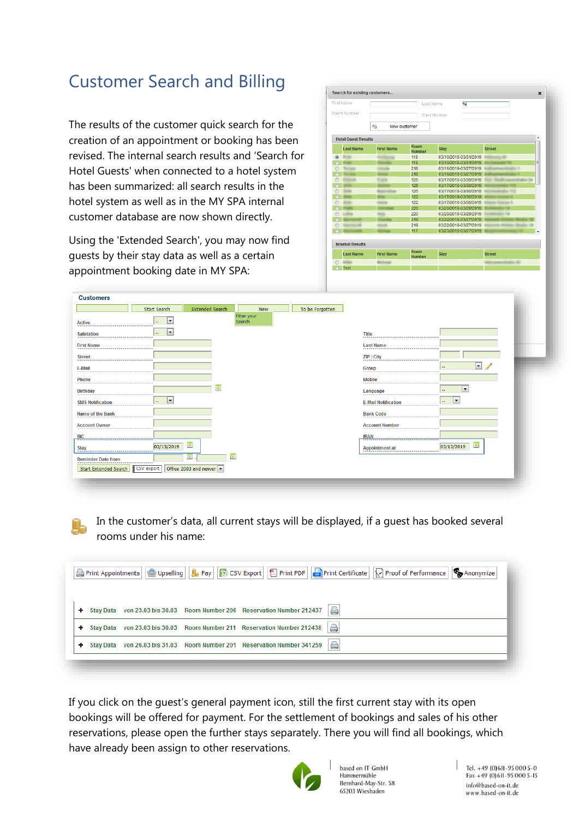### <span id="page-8-0"></span>Customer Search and Billing

The results of the customer quick search for the creation of an appointment or booking has been revised. The internal search results and 'Search for Hotel Guests' when connected to a hotel system has been summarized: all search results in the hotel system as well as in the MY SPA internal customer database are now shown directly.

Using the 'Extended Search', you may now find guests by their stay data as well as a certain appointment booking date in MY SPA:

|             | First Name                 |                    | Last Name                    | %                     |               |
|-------------|----------------------------|--------------------|------------------------------|-----------------------|---------------|
|             |                            |                    |                              |                       |               |
| Room Number |                            |                    |                              | Card Number           |               |
|             |                            | New customer<br>Aã |                              |                       |               |
|             | <b>Hotel Guest Results</b> |                    |                              |                       | ▲             |
|             | <b>Last Name</b>           | <b>First Name</b>  | <b>Room</b><br><b>Number</b> | <b>Stav</b>           | <b>Street</b> |
| $\circ$     |                            |                    | 119                          | 03/10/2019-03/31/2019 |               |
| $\circ$     |                            |                    | 119                          | 03/10/2019-03/31/2019 | Ξ             |
| B           |                            |                    | 218                          | 03/16/2019-03/27/2019 |               |
| ⋒           |                            |                    | 218                          | 03/16/2019-03/27/2019 |               |
| F           |                            |                    | 125                          | 03/17/2019-03/30/2019 |               |
|             |                            |                    | 125                          | 03/17/2019-03/30/2019 |               |
|             |                            |                    | 125                          | 03/17/2019-03/30/2019 |               |
|             |                            |                    | 122                          | 03/17/2019-03/30/2019 |               |
| ⋒           |                            |                    | 122                          | 03/17/2019-03/30/2019 |               |
|             |                            |                    | 220                          | 03/20/2019-03/29/2019 |               |
| C           |                            |                    | 220                          | 03/20/2019-03/29/2019 |               |
|             |                            |                    | 219                          | 03/22/2019-03/27/2019 |               |
| C           |                            |                    | 219                          | 03/22/2019-03/27/2019 |               |
|             |                            |                    | 117                          | 03/23/2019-03/27/2019 |               |
|             | <b>Internal Results</b>    |                    |                              |                       |               |
|             | <b>Last Name</b>           | <b>First Name</b>  | Room<br><b>Number</b>        | <b>Stav</b>           | <b>Street</b> |
|             |                            |                    |                              |                       |               |
|             | Test                       |                    |                              |                       |               |

| <b>Customers</b>          |                                         |                                      |                 |                            |                                                    |  |
|---------------------------|-----------------------------------------|--------------------------------------|-----------------|----------------------------|----------------------------------------------------|--|
|                           | Start Search                            | <b>Extended Search</b><br><b>New</b> | To be Forgotten |                            |                                                    |  |
| <b>Active</b>             | $\vert$<br>$\mathcal{L}_{\mathbf{r}}$ . | Filter your<br>Search                |                 |                            |                                                    |  |
| <b>Salutation</b>         | F<br>$\mathbf{a}$                       |                                      |                 | <b>Title</b>               |                                                    |  |
| <b>First Name</b>         |                                         |                                      |                 | <b>Last Name</b>           |                                                    |  |
| <b>Street</b>             |                                         |                                      |                 | ZIP / City                 |                                                    |  |
| E-Mail                    |                                         |                                      |                 | <b>Group</b>               | $\Box$<br>$\mathbf{u}$                             |  |
| Phone                     |                                         |                                      |                 | <b>Mobile</b>              |                                                    |  |
| <b>Birthday</b>           |                                         | $\boxed{\bullet}$                    |                 | Language                   | $\overline{\phantom{a}}$<br>$\mathbf{r}$           |  |
| <b>SMS Notification</b>   | $\Box$<br>$\mathcal{L}_{\mathcal{F}}$   |                                      |                 | <b>E-Mail Notification</b> | $\vert$ $\vert$<br>w.                              |  |
| <b>Name of the Bank</b>   |                                         |                                      |                 | <b>Bank Code</b>           |                                                    |  |
| <b>Account Owner</b>      |                                         |                                      |                 | <b>Account Number</b>      |                                                    |  |
| <b>BIC</b>                |                                         |                                      |                 | <b>IBAN</b>                |                                                    |  |
| <b>Stay</b>               | $\blacksquare$<br>03/13/2019            |                                      |                 | <b>Appointment at</b>      | $\overline{\mathbf{u}^{\mathsf{H}}}$<br>03/13/2019 |  |
| <b>Reminder Date from</b> | $\Box$                                  | $\overline{\blacksquare}$            |                 |                            |                                                    |  |
| Start Extended Search     | Office 2003 and newer<br>CSV export     |                                      |                 |                            |                                                    |  |
|                           |                                         |                                      |                 |                            |                                                    |  |

In the customer's data, all current stays will be displayed, if a guest has booked several rooms under his name:

| Print Appointments   Upselling   5 Pay   3 CSV Export   2 Print PDF   Print Certificate   1 Proof of Performance   $\bigotimes$ Anonymize |
|-------------------------------------------------------------------------------------------------------------------------------------------|
| a<br>Stay Data von 23.03 bis 30.03 Room Number 206 Reservation Number 212437                                                              |
| a)<br>Stay Data von 23.03 bis 30.03 Room Number 211 Reservation Number 212438                                                             |
| a)<br>Stay Data von 26.03 bis 31.03 Room Number 201 Reservation Number 341259                                                             |
|                                                                                                                                           |

If you click on the guest's general payment icon, still the first current stay with its open bookings will be offered for payment. For the settlement of bookings and sales of his other reservations, please open the further stays separately. There you will find all bookings, which have already been assign to other reservations.



based on IT GmbH Hammermühle Bernhard-May-Str. 58 65203 Wiesbaden

 $|$  Tel. +49 (0) 611 - 95 000 5 - 0  $Fax + 49(0)611 - 950005 - 15$ info@based-on-it.de www.based-on-it.de